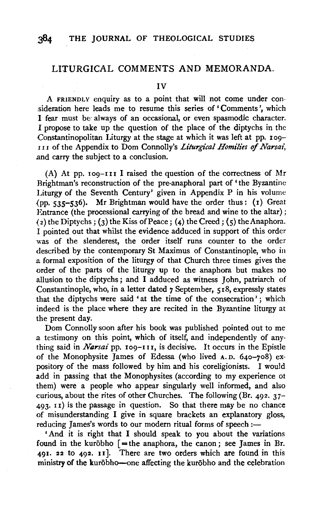### LITURGICAL COMMENTS AND MEMORANDA.

IV

A FRIENDLY enquiry as to a point that will not come under con sideration here leads me to resume this series of 'Comments', which I fear must be always of an occasional, or even spasmodic character. I propose to take up the question of the place of the diptychs in the Constantinopolitan Liturgy at the stage at which it was left at pp. 109-I I I of the Appendix to Dom Connolly's *Liturgical Homili'es of Narsai,*  .and carry the subject to a conclusion.

(A) At pp. 109-111 I raised the question of the correctness of Mr Brightman's reconstruction of the pre-anaphoral part of 'the Byzantine Liturgy of the Seventh Century' given in Appendix P in his volume  $(pp, 535-536)$ . Mr Brightman would have the order thus:  $(r)$  Great Entrance (the processional carrying of the bread and wine to the altar);  $(2)$  the Diptychs;  $(3)$  the Kiss of Peace;  $(4)$  the Creed;  $(5)$  the Anaphora. I pointed out that whilst the evidence adduced in support of this order was of the slenderest, the order itself runs counter to the order described by the contemporary St Maximus of Constantinople, who in .a formal exposition of the liturgy of that Church three times gives the order of the parts of the liturgy up to the anaphora but makes no allusion to the diptychs ; and I adduced as witness John, patriarch of Constantinople, who, in a letter dated 7 September, 518, expressly states that the diptychs were said 'at the time of the consecration'; which indeed is the place where they are recited in the Byzantine liturgy at the present day.

Dom Connolly soon after his book was published pointed out to me .a testimony on this point, which of itself, and independently of anything said in *Narsai* pp. 109-111, is decisive. It occurs in the Epistle of the Monophysite James of Edessa (who lived A. D. 64o-7o8) expository of the mass followed by him and his coreligionists. I would add in passing that the Monophysites (according to my experience of them) were a people who appear singularly well informed, and also curious, about the rites of other Churches. The following (Br. 492. 37- 493· 11) is the passage in question. So that there may be no chance of misunderstanding I give in square brackets an explanatory gloss, reducing James's words to our modern ritual forms of speech:-

'And it is right that I should speak to you about the variations found in the kurōbho  $[$  = the anaphora, the canon; see James in Br. 491. 22 to 492. 11 ]. There are two orders which are found in this ministry of the kurōbho-one affecting the kurōbho and the celebration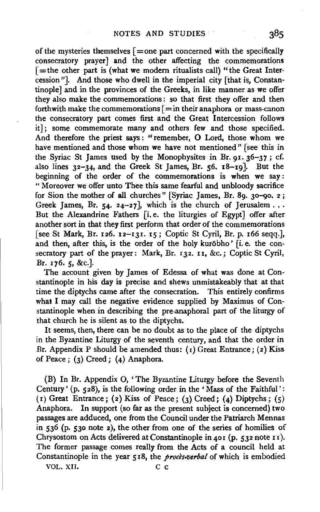of the mysteries themselves  $\lceil =$ one part concerned with the specifically consecratory prayer] and the other affecting the commemorations  $\mathbf{f}$  = the other part is (what we modern ritualists call) "the Great Intercession"]. And those who dwell in the imperial city [that is, Constantinople] and in the provinces of the Greeks, in like manner as we offer they also make the commemorations : so that first they offer and then forthwith make the commemorations  $\vert =$ in their anaphora or mass-canon the consecratory part comes first and the Great Intercession follows it]; some commemorate many and others few and those specified. And therefore the priest says: "remember, O Lord, those whom we have mentioned and those whom we have not mentioned" [see this in the Syriac St James used by the Monophysites in Br. 91.  $36-37$ ; cf. also lines 32-34. and the Greek St James, Br. s6. I8-I9]· But the beginning of the order of the commemorations is when we say: " Moreover we offer unto Thee this same fearful and unbloody sacrifice for Sion the mother of all churches" [Syriac James, Br. 89. 30-90. 2; Greek James, Br. 54. 24-27], which is the church of Jerusalem ... But the Alexandrine Fathers [i.e. the liturgies of Egypt] offer after another sort in that they first perform that order of the commemorations [see St Mark, Br. 126. I2-IJI. IS; Coptic St Cyril, Br. p. I66 seqq.], and then, after this, is the order of the holy kurobho' [i.e. the consecratory part of the prayer: Mark, Br. 132. 11, &c.; Coptic St Cyril, Br. 176. 5, &c.].

The account given by James of Edessa of what was done at Constantinople in his day is precise and shews unmistakeably that at that time the diptychs came after the consecration. This entirely confirms what I may call the negative evidence supplied by Maximus of Constantinople when in describing the pre-anaphoral part of the liturgy of that church he is silent as to the diptychs.

It seems, then, there can be no doubt as to the place of the diptychs in the Byzantine Liturgy of the seventh century, and that the order in Br. Appendix P should be amended thus:  $(1)$  Great Entrance;  $(2)$  Kiss of Peace; (3) Creed; (4) Anaphora.

(B) In Br. Appendix 0, 'The Byzantine Liturgy before the Seventh Century' (p. 528), is the following order in the 'Mass of the Faithful': (1) Great Entrance; (2) Kiss of Peace; (3) Creed; (4) Diptychs;  $(5)$ Anaphora. In support (so far as the present subject is concerned) two passages are adduced, one from the Council under the Patriarch Mennas in 536 (p. 530 note 2), the other from one of the series of homilies of Chrysostom on Acts delivered at Constantinople in 401 (p. 532 note 11). The former passage comes really from the Acts of a council held at Constantinople in the year 518, the *proces-verbal* of which is embodied

VOL. XII. C c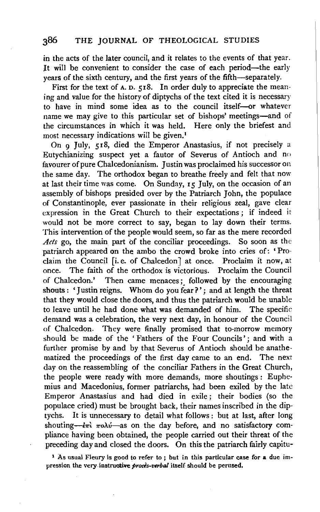in the acts of the later council, and it relates to the events of that year. It will be convenient to consider the case of each period-the early years of the sixth century, and the first years of the fifth-separately.

First for the text of  $A$ .  $D$ .  $518$ . In order duly to appreciate the meaning and value for the history of diptychs of the text cited it is necessary to have in mind some idea as to the council itself--or whatever name we may give to this particular set of bishops' meetings—and of the circumstances in which it was held. Here only the briefest and most necessary indications will be given.<sup>1</sup>

On 9 July, 518, died the Emperor Anastasius, if not precisely a Eutychianizing suspect yet a fautor of Severus of Antioch and no favourer of pure Chalcedonianism. Justin was proclaimed his successor on the same day. The orthodox began to breathe freely and felt that now at last their time was come. On Sunday, 15 July, on the occasion of an assembly of bishops presided over by the Patriarch John, the populace of Constantinople, ever passionate in their religious zeal, gave clear expression in the Great Church to their expectations; if indeed it would not be more correct to say, began to lay down their terms. This intervention of the people would seem, so far as the mere recorded *Acts* go, the main part of the conciliar proceedings. So soon as the patriarch appeared on the ambo the crowd broke into cries of: 'Proclaim the Council [i.e. of Chalcedon] at once. Proclaim it now, at once. The faith of the orthodox is victorious. Proclaim the Council of Chalcedon.' Then came menaces ; followed by the encouraging shouts : 'Justin reigns. Whom do you fear?'; and at length the threat that they would close the doors, and thus the patriarch would be unable to leave until he had done what was demanded of him. The specific demand was a celebration, the very next day, in honour of the Council of Chalcedon. They were finally promised that to-morrow memory should be made of the ' Fathers of the Four Councils'; and with a further promise by and by that Severus of Antioch should be anathematized the proceedings of the first day came to an end. The next day on the reassembling of the conciliar Fathers in the Great Church, the people were ready with more demands, more shoutings : Euphemius and Macedonius, former patriarchs, had been exiled by the late Emperor Anastasius and had died in exile; their bodies (so the populace cried) must be brought back, their names inscribed in the diptychs. It is unnecessary to detail what follows : but at last, after long shouting— $\epsilon \pi i$   $\pi o\lambda \nu$ —as on the day before, and no satisfactory compliance having been obtained, the people carried out their threat of the preceding day and closed the doors. On this the patriarch fairly capitu-

l As usual Fleury is good to refer to ; but in this particular case for a due impression the very instructive *proces-verbal* itself should be perused.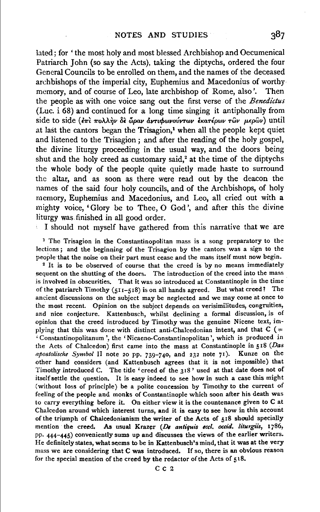lated; for ' the most holy and most blessed Archbishop and Oecumenical Patriarch John (so say the Acts), taking the diptychs, ordered the four General Councils to be enrolled on them, and the names of the deceased archbishops of the imperial city, Euphemius and Macedonius of worthy memory, and of course of Leo, late archbishop of Rome, also'. Then the people as with one voice sang out the first verse of the *Benedictus*  (Luc. i 68) and continued for a long time singing it antiphonally from side to side (επι πολλην δε ώραν άντιφωνούντων εκατέρων τῶν μερῶν) until at last the cantors began the Trisagion, $<sup>1</sup>$  when all the people kept quiet</sup> and listened to the Trisagion ; and after the reading of the holy gospel, the divine liturgy proceeding in the usual way, and the doors being shut and the holy creed as customary said, $2$  at the time of the diptychs the whole body of the people quite quietly made haste to surround the altar, and as soon as there were read out by the deacon the names of the said four holy councils, and of the Archbishops, of holy memory, Euphemius and Macedonius, and Leo, all cried out with a mighty voice, 'Glory be to Thee, 0 God', and after this the divine liturgy was finished in all good order.

I should not myself have gathered from this narrative that we are

<sup>1</sup> The Trisagion in the Constantinopolitan mass is a song preparatory to the lections ; and the beginning of the Trisagion by the cantors was a sign to the people that the noise on their part must cease and the mass itself must now begin.<br><sup>2</sup> It is to be observed of course that the creed is by no means immediately sequent on the shutting of the doors. The introduction of the creed into the mass is involved in obscurities. That it was so introduced at Constantinople in the time of the patriarch Timothy  $(511-518)$  is on all hands agreed. But what creed? The ancient discussions on the subject may be neglected and we may come at once to the most recent. Opinion on the subject depends on verisimilitudes, congruities, and nice conjecture. Kattenbusch, whilst declining a formal discussion, is of opinion that the creed introduced by Timothy was the genuine Nicene text, implying that this was done with distinct anti-Chalcedonian intent, and that  $C$  (= 'Constantinopolitanum ', the 'Nicaeno-Constantinopolitan ',which is produced in the Acts of Chalcedon) first came into the mass at Constantinople in 518 *(Das apostolische Symbol* 11 note 20 pp. 739-740, and 232 note 71). Kunze on tbe other hand considers (and Kattenbusch agrees that it is not impossible) that Timothy introduced C. The title 'creed of the 318 ' used at that date does not of itself settle the question. It is easy indeed to see how in such a case this might (without loss of principle) be a polite concession by Timothy to the current of feeling of the people and monks of Constantinople which soon after his death was to carry everything before it. On either view it is the countenance given to C at Chalcedon around which interest turns, and it is easy to see how in this account of the triumph of Chalcedonianism the writer of the Acts of 518 should specially mention the creed. As usual Krazer *(De antiquis eccl. occid. liturgiis*, 1786, pp. 444-445) conveniently sums up and discusses the views of the earlier writers. He definitely states, what seems to be in Kattenbusch's mind, that it was at the very mass we are considering that C was introduced. If so, there is an obvious reason for the special mention of the creed by the redactor of the Acts of 518.

Cc<sub>2</sub>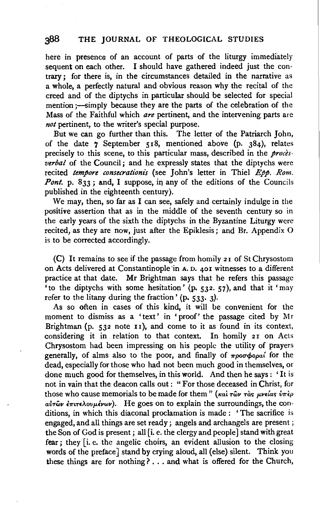here in presence of an account of parts of the liturgy immediately sequent on each other. I should have gathered indeed just the contrary; for there is, in the circumstances detailed in the narrative as a whole, a perfectly natural and obvious reason why the recital of the creed and of the diptychs in particular should be selected for special mention ;- simply because they are the parts of the celebration of the Mass of the Faithful which *are* pertinent, and the intervening parts are *not* pertinent, to the writer's special purpose.

But we can go further than this. The letter of the Patriarch John, of the date  $\overline{7}$  September 518, mentioned above (p. 384), relates precisely to this scene, to this particular mass, described in the *procesverbal* of the Council; and he expressly states that the diptychs were recited *tempore consecrationis* (see John's letter in Thiel *Epp. Rom. Pont.* p.  $833$ ; and, I suppose, in any of the editions of the Councils published in the eighteenth century).

We may, then, so far as I can see, safely and certainly indulge in the positive assertion that as in the middle of the seventh century so in the early years of the sixth the diptychs in the Byzantine Liturgy were recited, as they are now, just after the Epiklesis; and Br. Appendix 0 is to be corrected accordingly.

(C) It remains to see if the passage from homily 21 of St Chrysostom on Acts delivered at Constantinople ·in A. D. 401 witnesses to a different practice at that date. Mr Brightman says that he refers this passage 'to the diptychs with some hesitation' (p. 532. 57), and that it 'may refer to the litany during the fraction' (p. 533. 3).

As so often in cases of this kind, it will be convenient for the moment to dismiss as a 'text' in 'proof' the passage cited by Mr Brightman (p.  $532$  note  $11$ ), and come to it as found in its context, considering it in relation to that context. In homily 21 on Acts Chrysostom had been impressing on his people the utility of prayers generally, of alms also to the poor, and finally of  $\pi\rho o\sigma\phi o\rho a'$  for the dead, especially for those who had not been much good in themselves, or done much good for themselves, in this world. And then he says: 'It is not in vain that the deacon calls out: "For those deceased in Christ, for those who cause memorials to be made for them" ( $\kappa a$ )  $\tau a \sigma \nu \tau a s$   $\mu \nu \epsilon a s$   $\delta \pi \epsilon \rho$  $a\dot{v}$ των επιτελουμένων). He goes on to explain the surroundings, the conditions, in which this diaconal proclamation is made : ' The sacrifice is engaged, and all things are set ready; angels and archangels are present; the Son of God is present ; all [i. e. the clergy and people] stand with great fear; they [i. e. the angelic choirs, an evident allusion to the closing words of the preface] stand by crying aloud, all (else) silent. Think you these things are for nothing? ... and what is offered for the Church,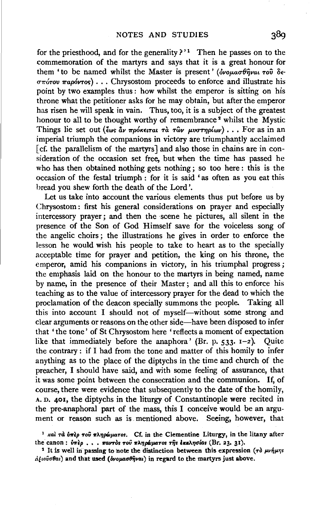for the priesthood, and for the generality  $2^{11}$  Then he passes on to the commemoration of the martyrs and says that it is a great honour for them 'to be named whilst the Master is present' ( $\delta\nu$ оμασθήναι του δε- $\sigma\pi$ *úrov*  $\pi$ *apóvros*)  $\ldots$  Chrysostom proceeds to enforce and illustrate his point by two examples thus : how whilst the emperor is sitting on his throne what the petitioner asks for he may obtain, but after the emperor has risen he will speak in vain. Thus, too, it is a subject of the greatest honour to all to be thought worthy of remembrance<sup>2</sup> whilst the Mystic Things lie set out (εως αν πρόκειται τα των μυστηρίων) . . . For as in an imperial triumph the companions in victory are triumphantly acclaimed [cf. the parallelism of the martyrs] and also those in chains are in consideration of the occasion set free, but when the time has passed he who has then obtained nothing gets nothing ; so too here : this is the occasion of the festal triumph : for it is said 'as often as you eat this bread you shew forth the death of the Lord'.

Let us take into account the various elements thus put before us by Chrysostom : first his general considerations on prayer and especially intercessory prayer; and then the scene he pictures, all silent in the presence of the Son of God Himself save for the voiceless song of the angelic choirs ; the illustrations he gives in order to enforce the lesson he would wish his people to take to heart as to the specially acceptable time for prayer and petition, the king on his throne, the emperor, amid his companions in victory, in his triumphal progress; the emphasis laid on the honour to the martyrs in being named, name by name, in the presence of their Master ; and all this to enforce his teaching as to the value of intercessory prayer for the dead to which the proclamation of the deacon specially summons the people. Taking all this into account I should not of myself-without some strong and clear arguments or reasons on the other side-have been disposed to infer that ' the tone' of St Chrysostom here 'reflects a moment of expectation like that immediately before the anaphora' (Br. p.  $533$ .  $1-2$ ). Quite the contrary : if I had from the tone and matter of this homily to infer anything as to the place of the diptychs in the time and church of the preacher, I should have said, and with some feeling of assurance, that it was some point between the consecration and the communion. If, of course, there were evidence that subsequently to the date of the homily, A. D. 401, the diptychs in the liturgy of Constantinople were recited in the pre-anaphoral part of the mass, this I conceive would be an argument or reason such as is. mentioned above. Seeing, however, that

<sup>1</sup> Ral *T*d  $\delta$ *n* $\epsilon$ *p*  $\sigma$   $\delta$   $\pi$ *Anpwuaros.* Cf. in the Clementine Liturgy, in the litany after the canon: ύπερ . . . παντός του πληρώματος της εκκλησίας (Br. 23. 31).

<sup>2</sup> It is well in passing to note the distinction between this expression ( $\tau \delta \mu \nu \eta \mu \eta s$  $\hat{a}$ *ξιοῦσθαι*) and that used *(δνομασθήναι*) in regard to the martyrs just above.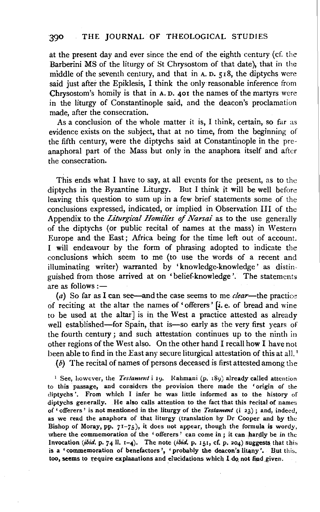at the present day and ever since the end of the eighth century (cf. the Barberini MS of the liturgy of St Chrysostom of that date), that in the middle of the seventh century, and that in A. D. 518, the diptychs were said just after the Epiklesis, I think the only reasonable inference from Chrysostom's homily is that in A. D. 401 the names of the martyrs were in the liturgy of Constantinople said, and the deacon's proclamation made, after the consecration.

As a conclusion of the whole matter it is, I think, certain, so far as evidence exists on the subject, that at no time, from the beginning of the fifth century, were the diptychs said at Constantinople in the preanaphoral part of the Mass but only in the anaphora itself and after the consecration.

This ends what I have to say, at all events for the present, as to the diptychs in the Byzantine Liturgy. But I think it will be well before leaving this question to sum up in a few brief statements some of the conclusions expressed, indicated, or implied in Observation Ill of the Appendix to the *Liturgical Homilies* of *Narsai* as to the use generally of the diptychs (or public recital of names at the mass) in Western Europe and the East; Africa being for the time left out of account. I will endeavour by the form of phrasing adopted to indicate the conclusions which seem to me (to use the words of a recent and illuminating writer) warranted by 'knowledge-knowledge' as distinguished from those arrived at on 'belief-knowledge'. The statements are as follows: $-$ 

(a) So far as I can see—and the case seems to me *clear*—the practice of reciting at the altar the names of 'offerers' [i.e. of bread and wine to be used at the altar] is in the West a practice attested as already well established-for Spain, that is-so early as the very first years of the fourth century ; and such attestation continues up to the ninth in other regions of the West also. On the other hand I recall how I have not been able to find in the East any secure liturgical attestation of this at all.'

 $(b)$  The recital of names of persons deceased is first attested among the

<sup>1</sup> See, however, the *Testament* i 19. Rahmani (p. 189) already called attention to this passage, and considers the provision there made the 'origin of the diptychs '. From which I infer he was little informed as to the history of diptychs generally. He also calls attention to the fact that this tecital of names of' offerers' is not mentioned in the liturgy of the *Testament* (i 23); and, indeed, as we read the anaphora of that liturgy (translation by Dr Cooper and by the Bishop of Moray, pp.  $71-75$ ), it does not appear, though the formula is wordy, where the commemoration of the ' offerers' can come in; it can hardly be in the Invocation (ibid. p. 74 ll. 1-4). The note (ibid. p. 151, cf. p. 204) suggests that this is a 'commemoration of benefactors', 'probably the deacon's litany'. But this. too, seems to require explanations and elucidations which I do not find given.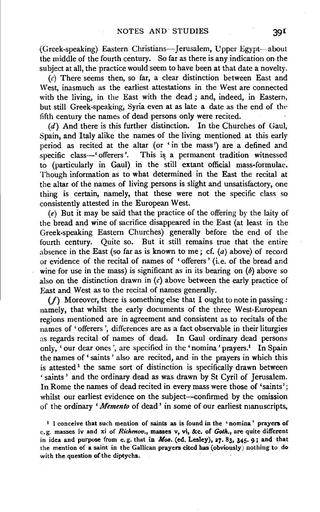(Greek-speaking) Eastern Christians-Jerusalem, Upper Egypt-about the middle of the fourth century. So far as there is any indication on· the subject at all, the practice would seem to have been at that date a novelty.

 $(c)$  There seems then, so far, a clear distinction between East and West, inasmuch as the earliest attestations in the West are connected with the living, in the East with the dead ; and, indeed, in Eastern, but still Greek-speaking, Syria even at as late a date as the end of the fifth century the names of dead persons only were recited.

(d) And there is this further distinction. In the Churches of Gaul, Spain, and Italy alike the names of the living mentioned at this early period as recited at the altar (or ' in the mass') are a defined and specific class-' offerers'. This is a permanent tradition witnessed to (particularly in Gaul) in the still extant official mass-formulae. Though information as to what determined in the East the recital at the altar of the names of living persons is slight and unsatisfactory, one thing is certain, namely, that these were not the specific class so consistently attested in the European West.

(e) But it may be said that the practice of the offering by the laity of the bread and wine of sacrifice disappeared in the East (at least in the Greek-speaking Eastern Churches) generally before the end of the fourth century. Quite so. But it still remains true that the entire absence in the East (so far as is known to me; cf.  $(a)$  above) of record or evidence of the recital of names of 'offerers' (i.e. of the bread and wine for use in the mass) is significant as in its bearing on  $(b)$  above so also on the distinction drawn in  $(c)$  above between the early practice of East and West as to the recital of names generally.

(/} Moreover, there is something else that I ought to note in passing *:*  namely, that whilst the early documents of the three West-European regions mentioned are in agreement and consistent as to recitals of the names of 'offerers ', differences are as a fact observable in their liturgies as regards recital of names of dead. In Gaul ordinary dead persons only, 'our dear ones', are specified in the 'nomina' prayers.<sup>1</sup> In Spain the names of ' saints' also are recited, and in the prayers in which this is attested<sup>1</sup> the same sort of distinction is specifically drawn between 'saints' and the ordinary dead as was drawn by St Cyril of Jerusalem. In Rome the names of dead recited in every mass were those of 'saints'; whilst our earliest evidence on the subject—confirmed by the omission of the ordinary *'Memento* of dead' in some of our earliest manuscripts,

<sup>1</sup> I conceive that such mention of saints as is found in the 'nomina' prayers of e.g. masses iv and xi of *Richenov.,* masses v, vi, &c. of *Goth.,* are quite different in idea and purpose from e.g. that in *M06.* (ed. Lesley), a7. 83, 345· 9; and that the mention of a saint in the Gallican prayers cited has (obviously) nothing to do with the question of the diptychs.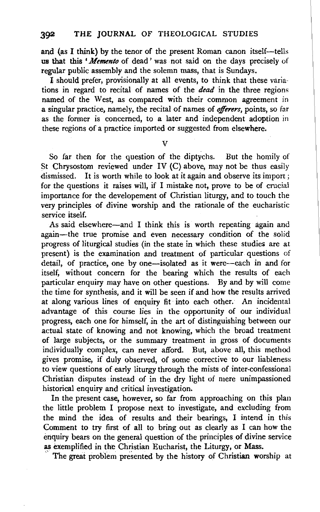a  $\alpha$  the tensor of the tensor of the present Roman canon itself-tells  $\alpha$ us that **the** *'neight* was the tend of the present Roman canon itself—tells us that this 'Memento of dead' was not said on the days precisely of regular public assembly and the solemn mass, that is Sundays.

I should prefer, provisionally at all events, to think that these variations in regard to recital of names of the  $dead$  in the three regions named of the West, as compared with their common agreement in a singular practice, namely, the recital of names of *offerers*, points, so far as the former is concerned, to a later and independent adoption in these regions of a practice imported or suggested from elsewhere.

So far then for the question of the diptychs. But the homily of So far then for the question of the diptychs. But the homily of St Chrysostom reviewed under IV (C) above, may not be thus easily dismissed. It is worth while to look at it again and observe its import; for the questions it raises will, if I mistake not, prove to be of crucial importance for the developement of Christian liturgy, and to touch the very principles of divine worship and the rationale of the eucharistic service itself. de itself.<br>As said this is wordhout this is worth repeating again and I think this world.

As said elsewhere—and I think this is worth repeating again and again-the true promise and even necessary condition of the solid progress of liturgical studies (in the state in which these studies are at present) is the examination and treatment of particular questions of detail, of practice, one by one-isolated as it were-each in and for itself, without concern for the bearing which the results of each particular enquiry may have on other questions. By and by will come the time for synthesis, and it will be seen if and how the results arrived at along various lines of enquiry fit into each other. An incidental advantage of this course lies in the opportunity of our individual progress, each one for himself, in the art of distinguishing between our actual state of knowing and not knowing, which the broad treatment of large subjects, or the summary treatment in gross of documents individually complex, can never afford. But, above all, this method gives promise, if duly observed, of some corrective to our liableness to view questions of early liturgy through the mists of inter-confessional Christian disputes instead of in the dry light of mere unimpassioned historical enquiry and critical investigation. Ical enquiry and critical investigation.

In the present case, however, so far from approaching on this plan the little problem I propose next to investigate, and excluding from the mind the idea of results and their bearings, I intend in this Comment to try first of all to bring out as clearly as I can how the enquiry bears on the general question of the principles of divine service as exemplified in the Christian Eucharist, the Liturgy, or Mass.<br>The great problem presented by the history of Christian worship at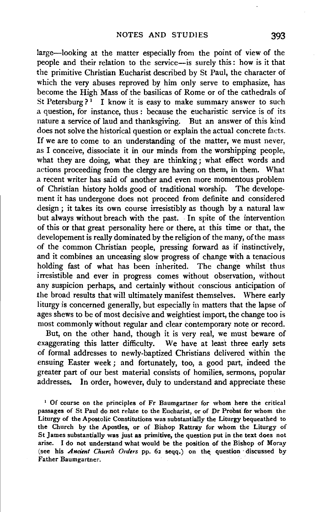large-looking at the matter especially from the point of view of the people and their relation to the service-is surely this: how is it that the primitive Christian Eucharist described by St Paul, the character of which the very abuses reproved by him only serve to emphasize, has become the High Mass of the basilicas of Rome or of the cathedrals of St Petersburg?<sup>1</sup> I know it is easy to make summary answer to such a question, for instance, thus : because the eucharistic service is of its nature a service of laud and thanksgiving. But an answer of this kind does not solve the historical question or explain the actual concrete facts. If we are to come to an understanding of the matter, we must never, as I conceive, dissociate it in our minds from the worshipping people, what they are doing, what they are thinking ; what effect words and actions proceeding from the clergy are having on them, in them. What a recent writer has said of another and even more momentous problem of Christian history holds good of traditional worship. The developement it has undergone does not proceed from definite and considered design; it takes its own course irresistibly as though by a natural law but always without breach with the past. In spite of the intervention of this or that great personality here or there, at this time or that, the developement is really dominated by the religion of the many, of the mass of the common Christian people, pressing forward as if instinctively, and it combines an unceasing slow progress of change with a tenacious holding fast of what has been inherited. The change whilst thus irresistible and ever in progress comes without observation, without any suspicion perhaps, and certainly without conscious anticipation of the broad results that will ultimately manifest themselves. Where early liturgy is concerned generally, but especially in matters that the lapse of ages shews to be of most decisive and weightiest import, the change too is most commonly without regular and clear contemporary note or record.

But, on the other hand, though it is very real, we must beware of exaggerating this latter difficulty. We have at least three early sets of formal addresses to newly-baptized Christians delivered within the ensuing Easter week ; and fortunately, too; a good part, indeed the greater part of our best material consists of homilies, sermons, popular addresses. In order, however, duly to understand and appreciate these

 $1$  Of course on the principles of Fr Baumgartner for whom here the critical passages of St Paul do not relate to the Eucharist, or of Dr Probst for whom the Liturgy of the Apostolic Constitutions was substantially the Liturgy bequeathed to the Church by the Apostles, or of Bishop Rattray for whom the Liturgy of St james substantially was just as primitive, the question put in the text does not arise. I do not understand what would be the position of the Bishop of Moray (see his *Ancient Church Orders* pp. 62 seqq.) on the question discussed by Father Baumgartner.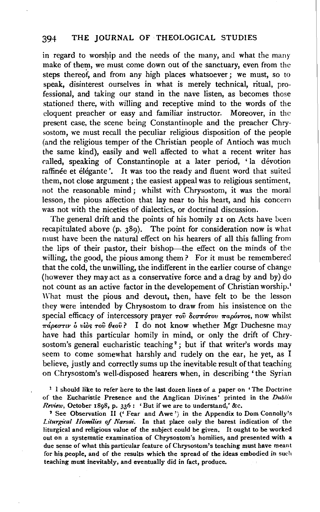### 394 THE JOURNAL OF THEOLOGICAL STUDIES

in regard to worship and the needs of the many, and what the many make of them, we must come down out of the sanctuary, even from the steps thereof, and from any high places whatsoever; we must, so to speak, disinterest ourselves in what is merely technical, ritual, professional, and taking our stand in the nave listen, as becomes those stationed there, with willing and receptive mind to the words of the eloquent preacher or easy and familiar instructor. Moreover, in the present case, the scene being Constantinople and the preacher Chrysostom, we must recall the peculiar religious disposition of the people (and the religious temper of the Christian people of Antioch was much the same kind), easily and well affected to what a recent writer has called, speaking of Constantinople at a later period, ' la devotion raffinée et élégante'. It was too the ready and fluent word that suited them, not close argument; the easiest appeal was to religious sentiment, not the reasonable mind; whilst with Chrysostom, it was the moral lesson, the pious affection that lay near to his heart, and his concern was not with the niceties of dialectics, or doctrinal discussion.

The general drift and the points of his homily 21 on Acts have been recapitulated above (p. 389). The point for consideration now is what must have been the natural effect on his hearers of all this falling from the lips of their pastor, their bishop-the effect on the minds of the willing, the good, the pious among them? For it must be remembered that the cold, the unwilling, the indifferent in the earlier course of change (however they may act as a conservative force and a drag by and by) do not count as an active factor in the developement of Christian worship.<sup>1</sup> What must the pious and devout, then, have felt to be the lesson they were intended by Chrysostom to draw from his insistence on the special efficacy of intercessory prayer  $\tau$ <sup>o</sup>  $\delta$ *co* $\pi$ *órov*  $\pi$ *apóvros*, now whilst  $\pi \phi \epsilon \sigma \tau \nu \delta v \delta \rho \delta \tau$  over  $\theta \epsilon \delta v$ ? I do not know whether Mgr Duchesne may have had this particular homily in mind, or only the drift of Chrysostom's general eucharistic teaching<sup>2</sup>; but if that writer's words may seem to come somewhat harshly and rudely on the ear, he yet, as I believe, justly and correctly sums up the inevitable result of that teaching on Chrysostom's well-disposed hearers when, in describing 'the Syrian

1 I should like to refer here to the last dozen lines of a paper on 'The Doctrine of the Eucharistic Presence and the Anglican Divines' printed in the *Dublin Review, October 1898, p. 336:* 'But if we are to understand,' &c. 2 See Observation II (' Fear and Awe') in the Appendix to Dom Connolly's

Liturgical Homilies of Narsai. In that place only the barest indication of the liturgical and religious value of the subject could be given. It ought to be worked out on a systematic examination of Chrysostom's homilies, and presented with a due sense of what this particular feature of Chrysostom's teaching must have meant for his people, and of the results which the spread of the ideas embodied in such teaching must inevitably, and eventually did in fact, produce.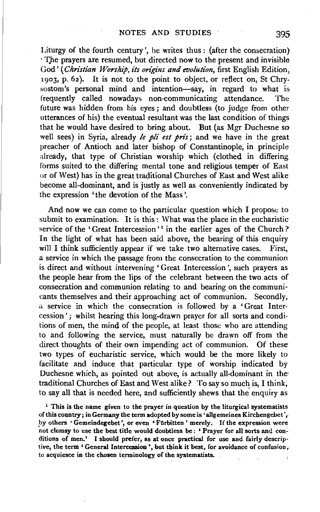Liturgy of the fourth century', he writes thus : (after the consecration) · T)le prayers are resumed, but directed now to the present and invisible God' *(Christian Worship, its origins and evolution,* first English Edition, 1903, p. 62). It is not to the point to object, or retlect on, St Chry· sostom's personal mind and intention-say, in regard to what is frequently called nowadays non-communicating attendance. The future was hidden from his eyes; and doubtless (to judge from other utterances of his) the eventual resultant was the last condition of things that he would have desired to bring about. But (as Mgr Duchesne so well sees) in Syria, already *le pli est pris;* and we have in the great preacher of Antioch and later bishop of Constantinople, in principle already, that type of Christian worship which (clothed in differing forms suited to the differing mental tone and religious temper of East or of West) has in the great traditional Churches of East and West alike become all-dominant, and is justly as well as conveniently indicated by the expression 'the devotion of the Mass'.

And now we can come to the particular question which I propose to submit to examination. It is this: What was the place in the eucharistic service of the 'Great Intercession'<sup>1</sup> in the earlier ages of the Church?' In the light of what has been said above, the bearing of this enquiry will I think sufficiently appear if we take two alternative cases. First, a service in which the passage from the consecration to the communion is direct and without intervening 'Great Intercession', such prayers as the people hear from the lips of the celebrant between the two acts of consecration and communion relating to and bearing on the communicants themselves and their approaching act of communion. Secondly, a service in which the consecration is followed by a 'Great Intercession'; whilst hearing this long-drawn prayer for all sorts and conditions of men, the mind of the people, at least those who are attending to and following the service, must naturally be drawn off from the direct thoughts of their own impending act of communion. Of these two types of eucharistic service, which would be the more likely to facilitate and induce that particular type of worship indicated by Duchesne which, as pointed out above, is actually all-dominant in the· traditional Churches of East and West alike? To say so much is, I think, to say all that is needed here, and sufficiently shews that the enquiry as

 $<sup>1</sup>$  This is the name given to the prayer in question by the liturgical systematists</sup> of this country; in Germany the term adopted by some is 'allgemeines Kirchengebet', by others 'Gemeindegebet', or even 'Fürbitten' merely. If the expression were not clumsy to use the best title would doubtless be: 'Prayer for all sorts and conditions of men.' I should prefer, as at once practical for use and fairly descrip· tive, the term ' General Intercession', but think it best, for avoidance of confusion, to acquiesce in the chosen terminology of the systematists.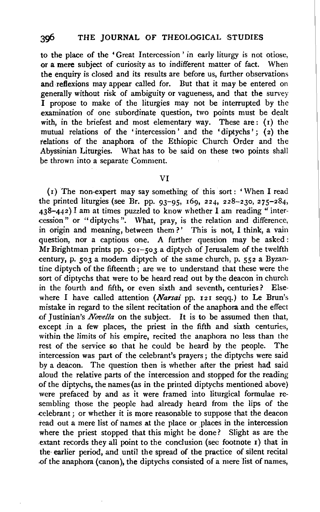to the place of the 'Great Intercession ' in early liturgy is not otiose, or a mere subject of curiosity as to indifferent matter of fact. When the enquiry is closed and its results are before us, further observations and reflexions may appear called for. But that it may be entered on generally without risk of ambiguity or vagueness, and that the survey I propose to make of the liturgies may not be interrupted by the examination of one subordinate question, two points must be dealt with, in the briefest and most elementary way. These are: (1) the mutual relations of the 'intercession' and the 'diptychs'; (2) the relations of the anaphora of the Ethiopic Church Order and the Abyssinian Liturgies. What has to be said on these two points shall be thrown into a separate Comment.

#### VI

(r) The non-expert may say something of this sort: 'When I read the printed liturgies (see Br. pp. 93-95, 169, 224, 228-230, 275-284,  $438-442$ ) I am at times puzzled to know whether I am reading "intercession" or "diptychs ". What, pray, is the relation and difference, in origin and meaning, between them?' This is not. I think, a vain question, nor a captious one. A further question may be asked : Mr Brightman prints pp. 5or-503 a diptych of Jerusalem of the twelfth century, p. 503 a modem diptych of the same church, p. 552 a Byzantine diptych of the fifteenth ; are we to understand that these were the sort of diptychs that were to be heard read out by the deacon in church in the fourth and fifth, or even sixth and seventh, centuries? Elsewhere I have called attention *(Narsai* pp. 121 seqq.) to Le Brun's mistake in regard to the silent recitation of the anaphora and the effect of Justinian's *Novella* on the subject. It is to be assumed then that, except in a few places, the priest in the fifth and sixth centuries, within the limits of his empire, recited the anaphora no less than the rest of the service so that he could be heard by the people. The intercession was part of the celebrant's prayers; the diptychs were said by a deacon. The question then is whether after the priest had said aloud the relative parts of the intercession and stopped for the reading of the diptychs, the names (as in the printed diptychs mentioned above) were prefaced by and as it were framed into liturgical formulae resembling those the people had already heard from the lips of the .celebrant ; or whether it is more reasonable to suppose that the deacon read out a mere list of names at the place or places in the intercession where the priest stopped that this might be done? Slight as are the extant records they all point to the conclusion (sec footnote 1) that in the· earlier period, and until the spread of the practice of silent recital .of the anaphora (canon), the diptychs consisted of a mere list of names,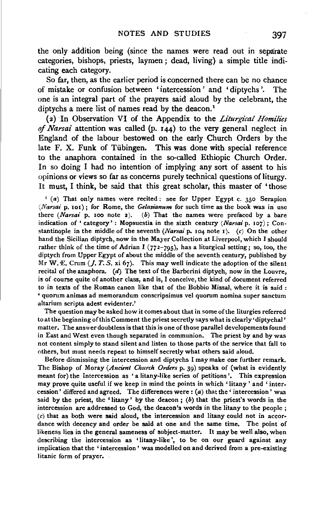the only addition being (since the names were read out in separate categories, bishops, priests, laymen ; dead, living) a simple title indicating each category.

So far, then, as the earlier period is concerned there can be no chance of mistake or confusion between 'intercession ' and 'diptychs '. The one is an integral part of the prayers said aloud by the celebrant, the diptychs a mere list of names read by the deacon.<sup>1</sup>

(2) In Observation VI of the Appendix to the *Liturgical Homilies*  of *Narsai* attention was called (p. 144) to the very general neglect in England of the labour bestowed on the early Church Orders by the late F. X. Funk of Tübingen. This was done with special reference to the anaphora contained in the so-called Ethiopic Church Order. In so doing I had no intention of implying any sort of assent to his opinions or views so far as concerns purely technical questions of liturgy. It must, I think, be said that this great scholar, this master of 'those

 $1$  (a) That only names were recited: see for Upper Egypt c. 350 Serapion *(Narsai* p. 101); for Rome, the *Gelasianum* for such time as the book was in use there *(Narsai* p. 100 note 2). (b) That the names were prefaced by a bare indication of ' category' : Mopsuestia in the sixth century *(Narsai* p. 107) ; Constantinople in the middle of the seventh *(Narsai* p. 104 note I). (c) On the other hand the Sicilian diptych, now in the Mayer Collection at Liverpool, which I should rather think of the time of Adrian I ( $772-795$ ), has a liturgical setting; so, too, the diptych from Upper Egypt of about the middle of the seventh century, published by Mr W. E. Crum  $(J. T. S. xi 67)$ . This may well indicate the adoption of the silent recital of the anaphora.  $(d)$  The text of the Barberini diptych, now in the Louvre, is of course quite of another class, and is, I conceive, the kind of document referred to in texts of the Roman canon like that of the Bobbio Missal, where it is said : • quorum animas ad memorandum conscripsimus vel quorum nomina super sanctum altarium scripta adest evidenter.'

The question may be asked how it comes about that in some of the liturgies referred to at the beginning of this Comment the priest secretly says what is clearly 'diptychal' matter, The answer doubtless is that this is one of those parallel developements found in East and West even though separated in communion. The priest by and by was not content simply to stand silent and listen to those parts of the service that fall to others, but must needs repeat to himself secretly what others said aloud.

Before dismissing the intercession and diptychs I may make one further remark. The Bishop of Moray *(Ancient Church Orders* p. 39) speaks of (what is evidently meant for) the Intercession as ' a litany-like series of petitions'. This expression may prove quite useful if we keep in mind the points in which 'litany ' and ' intercession' differed and agreed. The differences were  $: (a)$  that the 'intercession' was said by the priest, the 'litany' by the deacon;  $(b)$  that the priest's words in the intercession are addressed to God, the deacon's words in the litany to the people;  $(c)$  that as both were said aloud, the intercession and litany could not in accordance with decency and order be said at one and the same time. The point of likeness lies in the general sameness of subject-matter. It may be well also, when describing the intercession as 'litany-like', to be on our guard against any implication that the 'intercession' was modelled on and derived from a pre-existing litanic form of prayer.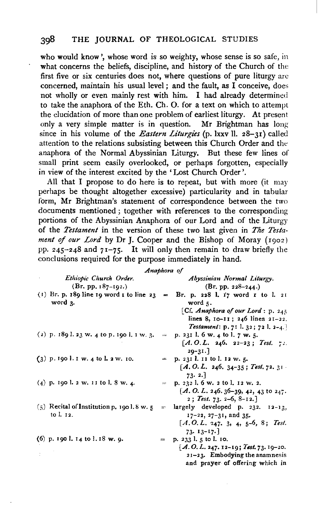who would know', whose word is so weighty, whose sense is so safe, in what concerns the beliefs, discipline, and history of the Church of the first five or six centuries does not, where questions of pure liturgy are concerned, maintain his usual level ; and the fault, as  $\overrightarrow{I}$  conceive, does not wholly or even mainly rest with him. I had already determined to take the anaphora of the Eth. Ch. 0. for a text on which to attempt the elucidation of more than one problem of earliest liturgy. At present only a very simple matter is in question. Mr Brightman has long since in his volume of the *Eastern Liturgies* (p. lxxv ll. 28-31) called attention to the relations subsisting between this Church Order and the anaphora of the Normal Abyssinian Liturgy. But these few lines of small print seem easily overlooked, or perhaps forgotten, especially in view of the interest excited by the' Lost Church Order'.

All that I propose to do here is to repeat, but with more (it may perhaps be thought altogether excessive) particularity and in tabular form, Mr Brightman's statement of correspondence between the two documents mentioned ; together with references to the corresponding portions of the Abyssinian Anaphora of our Lord and of the Liturgy of the *Testament* in the version of these two last given in *The Testament* of *our Lord* by Dr J. Cooper and the Bishop of Moray ( 1902) pp. 245-248 and 71-7 *5·* It will only then remain to draw briefly the conclusions required for the purpose immediately in hand.

| Anaphora of |                                                          |  |                                                                                                                                             |  |
|-------------|----------------------------------------------------------|--|---------------------------------------------------------------------------------------------------------------------------------------------|--|
|             | Ethiopic Church Order.<br>$(Br. pp. 187-192.)$           |  | Abyssinian Normal Liturgy.<br>$(Br. pp. 228-244.)$                                                                                          |  |
|             | word $3$ .                                               |  | (1) Br. p. 189 line 19 word 1 to line 23 = Br. p. 228 l. 17 word 1 to l. 21<br>word $\mathbf{r}$ .                                          |  |
|             |                                                          |  | [Cf. Anaphora of our Lord : $p. 245$<br>lines 8, $10-11$ ; 246 lines 21-22.<br>Testament: p. 71 1. 32; 72 1. 2-4.                           |  |
|             | (2) p. 189 l. 23 w. 4 to p. 190 l. 1 w. 3.               |  | $=$ p. 231 l. 6 w. 4 to l. 7 w. 5.<br>$[A, O, L, 246, 22-23; Test, 72.$<br>$20 - 31.$                                                       |  |
|             | $(3)$ p. 190 l. 1 w. 4 to l. 2 w. 10.                    |  | $=$ p. 231 l. 11 to l. 12 w. 5.<br>$[A, O, L, 246, 34-35; Test, 72, 31]$<br>73.2.                                                           |  |
|             | $(4)$ p. 190 l. 2 w. 11 to l. 8 w. 4.                    |  | $=$ p. 232 l. 6 w. 2 to l. 12 w. 2.<br>$A. O. L. 246.36 - 39, 42, 43$ to $247.$<br>2; Test. 73. 2-6, 8-12.]                                 |  |
|             | $(5)$ Recital of Institution p. 1901.8 w. 5<br>to l. 12. |  | $=$ largely developed p. 232. $12-13$ ,<br>$17 - 22$ , $27 - 31$ , and 35.<br>$[A, O, L, 247, 3, 4, 5-6, 8; Test.$<br>$73.13 - 17.$         |  |
|             | (6) p. 190 l. 14 to l. 18 w. 9.                          |  | $=$ p. 233 l. 5 to l. 10.<br>[A.O.L. 247. 12-19; Test. 73. 19-20.<br>$21 - 23$ . Embodying the anamnesis<br>and prayer of offering which in |  |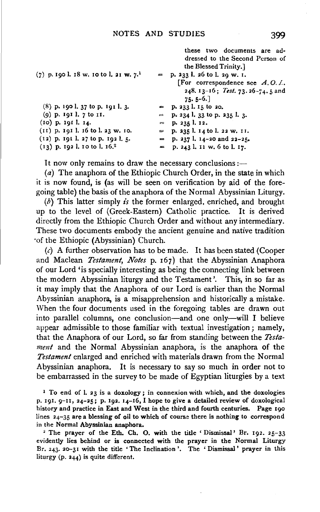| $(7)$ p. 190 l. 18 w. 10 to l. 21 w. 7. <sup>1</sup> |              | these two documents are ad-<br>dressed to the Second Person of<br>the Blessed Trinity.<br>$=$ p. 233 l. 26 to l. 20 w. I.<br>[For correspondence see $A, O, L$ .<br>248. $13-16$ ; Test. 73. 26-74. 5 and<br>$75.5 - 6.$ |
|------------------------------------------------------|--------------|--------------------------------------------------------------------------------------------------------------------------------------------------------------------------------------------------------------------------|
| $(8)$ p. 190 l. 37 to p. 191 l. 3.                   | $\leftarrow$ | p. 233 l. 15 to 20.                                                                                                                                                                                                      |
| (9) p. 191 l. 7 to 11.                               | $=$          | p. 234 l. 33 to p. 235 l. 3.                                                                                                                                                                                             |
| $(10)$ p. 191 l. 14.                                 |              | $=$ p. 235 l. 12.                                                                                                                                                                                                        |
| $(11)$ p. 191 l. 16 to l. 23 w. 10.                  | $\sim$       | p. 235 l. 14 to l. 22 w. II.                                                                                                                                                                                             |
| $(12)$ p. 191 l. 27 to p. 192 l. 5.                  |              | $=$ p. 237 l. 14-20 and 22-25.                                                                                                                                                                                           |
| $(13)$ p. 192 l. 10 to l. 16. <sup>2</sup>           |              | $=$ p. 243 l. 11 w. 6 to l. 17.                                                                                                                                                                                          |

It now only remains to draw the necessary conclusions :-

(a) The anaphora of the Ethiopic Church Order, in the state in which it is now found, is (as will be seen on verification by aid of the foregoing table) the basis of the anaphora of the Normal Abyssinian Liturgy.

(b) This latter simply *is* the former enlarged, enriched, and brought up to the level of (Greek-Eastern) Catholic practice. It is derived directly from the Ethiopic Church Order and without any intermediary. These two documents embody the ancient genuine and native tradition ·of the Ethiopic (Abyssinian) Church.

 $(c)$  A further observation has to be made. It has been stated (Cooper and Maclean *Testament, Notes* p. 167) that the Abyssinian Anaphora of our Lord 'is specially interesting as being the connecting link between the modern Abyssinian liturgy and the Testament'. This, in so far as it may imply that the Anaphora of our Lord is earlier than the Normal Abyssinian anaphora, is a misapprehension and historically a mistake. When the four documents used in the foregoing tables are drawn out into parallel columns, one conclusion-and one only-will I believe appear admissible to those familiar with textual investigation; namely, that the Anaphora of our Lord, so far from standing between the *Testament* and the Normal Abyssinian anaphora, is the anaphora of the *Testament* enlarged and enriched with materials drawn from the Normal Abyssinian anaphora. It is necessary to say so much in order not to be embarrassed in the survey to be made of Egyptian liturgies by a text

<sup>1</sup> To end of l. 23 is a doxology; in connexion with which, and the doxologies p. 191. 9-11, 24-25; p. 192. 14-16, I hope to give a detailed review of doxological history and practice in East and West in the third and fourth centuries. Page 190 lines 24-35 are a blessing of oil to which of course there is nothing to correspond in the Normal Abyssinian anaphora.

<sup>2</sup> The prayer of the Eth. Ch. O. with the title ' Dismissal' Br. 192. 25-33 evidently lies behind or is connected with the prayer in the Normal Liturgy Er. 243. 20-3 I with the title 'The Inclination '. The ' Dismissal ' prayer in this liturgy (p. 244) is quite different.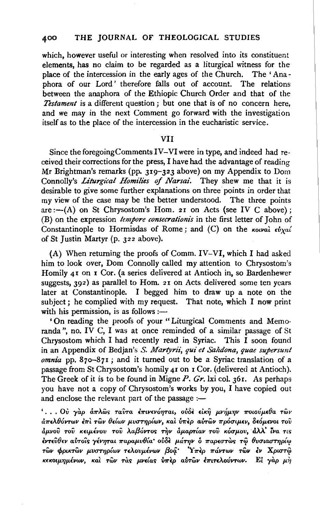which, however useful or interesting when resolved into its constituent elements, has no claim to be regarded as a liturgical witness for the place of the intercession in the early ages of the Church. The 'Anaphora of our Lord' therefore falls out of account. The relations between the anaphora of the Ethiopic Church Order and that of the *Testament* is a different question; but one that is of no concern here, and we may in the next Comment go forward with the investigation itself as to the place of the intercession in the eucharistic service.

#### VII

Since the foregoingComments IV-VI were in type, and indeed had received their corrections for the press, I have had the advantage of reading Mr Brightman's remarks (pp. 319-323 above) on my Appendix to Dom Connolly's *Liturgical Homilies of Narsai*. They shew me that it is desirable to give some further explanations on three points in order that my view of the case may be the better understood. The three points  $are:-(A)$  on St Chrysostom's Hom. 21 on Acts (see IV C above); (B) on the expression *tempore consecrationis* in the first letter of John of Constantinople to Hormisdas of Rome; and (C) on the *Kowat*  $\epsilon v_{X}$ *at* of St Justin Martyr (p. 322 above).

{A) When returning the proofs of Comm. IV-VI, which I had asked him to look over, Dom Connolly called my attention to Chrysostom's Homily 41 on I Cor. (a series delivered at Antioch in, so Bardenhewer suggests, 392) as parallel to Hom. 21 on Acts delivered some ten years later at Constantinople. I begged him to draw up a note on the bject; he complied with my request. That note, which I now print ith his permission, is as follows :with his permission, is as follows :-<br>
'On reading the proofs of your "Liturgical Comments and Memo-

randa", no. IV C, I was at once reminded of a similar passage of St Chrysostom which I had recently read in Syriac. This I soon found in an Appendix of Bedjan's *S. Martyrii, qui et Sahdona, quae supersunt omnia* pp. 87o-87I; and it turned out to be a Syriac translation of a passage from St Chrysostom's homily 41 on 1 Cor. (delivered at Antioch). The Greek of it is to be found in Migne *P. Gr.* lxi col. 361. As perhaps ou have not a copy of Chrysostom's works by you, I have copied out of enclose the relevant part of the passage :and enclose the relevant part of the passage :-<br>'... Ov yàp am *N*os ravra επινενόηται, ούδε είκη μνήμην ποιούμεθα των

 $d\pi$ ελθόντων έπι τῶν θείων μυστηρίων, και υπερ αὐτῶν πρόσιμεν, δεόμενοι του  $\dot{a}$ μνού του κειμένου του λαβόντος την αμαρτίαν του κόσμου, άλλ' ίνα τις *£VT£v(hv alrrol.<; yivryrat 1!"apap.vt1{a·* oUSt *p.a77JV* o *11"ap£0"TWS* T~ *8vULaUT7JPL"! TWV </>ptKTWV J1-VO"T7Jp{wv T£Aovp.ivwv {3oq.·* Y *1rf:p 11"aVTWV TWV olv* XpwT~ *KΕΚΟΙμημένων, και των τας μνείας υπερ αυτων έπιτελούντων. Εί γαρ μη*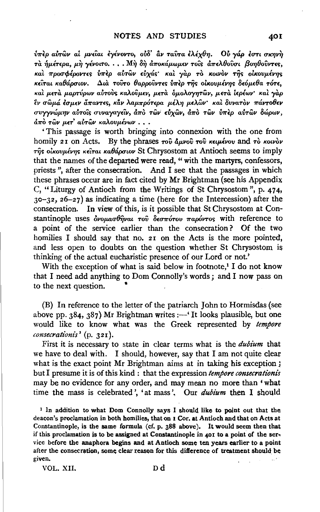$\hat{v}$ περ αύτῶν αί μνεῖαι εγένοντο, οὐδ' ἂν ταῦτα ἐλέχθη. <sup>Ο</sup>υ γάρ ἐστι σκηνὴ  $\tau$ à ήμέτερα, μὴ γένοιτο.  $\ldots$  Μὴ δὴ ἀποκάμωμεν τοίς ἀπελθοῦσι βοηθοῦντες, *Kai προσφέροντες υπερ αυτών ευχάς και γαρ το κοινον της οικουμένης K£tTaL KaOapuwv.* a,a. *TOVrO OappOVvr£'> V7T'£p* n; .. *olKovp.iV7]'> o£!Jp.£0a TOT£,*  Kat μετά μαρτύρων αύτους καλούμεν, μετά δμολογητών, μετά ιερέων· και γαρ ~V *uwp.a EO'JJ.£V a?TaVT£'>, Kllv Aap.7rponpa* p.(A7J *p.£Awv· Kat ovvaTOV 7T&VTo0£v uv-y-yv6Jp.7JV alrro'ic; uvvayay£'iv, a7TCJ TWV £lixwv, a?To TWV V7Tfp aliTwV otiJpwv,*   $d\pi\grave{o}$  τῶν μετ' αὐτῶν καλουμένων . . .

' This passage is worth bringing into connexion with the one from homily 21 on Acts. By the phrases *rov*  $\delta \mu\nu$ *ov rov kelpévov* and *rò kolvov*  $\tau$ ης οικουμένης κείται καθάρσιον St Chrysostom at Antioch seems to imply that the names of the departed were read, " with the martyrs, confessors, priests ", after the consecration. And I see that the passages in which these phrases occur are in fact cited by Mr Brightman (see his Appendix C, "Liturgy of Antioch from the Writings of St Chrysostom '', p. 474,  $30-32$ ,  $26-27$ ) as indicating a time (here for the Intercession) after the consecration. In view of this, is it possible that St Chrysostom at Constantinople uses *δνομασθήναι του δεσπότου παρόντος* with reference to a point of the service earlier than the consecration? Of the two homilies I should say that no. 21 on the Acts is the more pointed, and less open to doubts on the question whether St Chrysostom is thinking of the actual eucharistic presence of our Lord or not.'

With the exception of what is said below in footnote,<sup>1</sup> I do not know that I need add anything to Dom Connolly's words ; and I now pass on to the next question. •

(B) In reference to the letter of the patriarch John to Hormisdas (see above pp.  $384$ ,  $387$ ) Mr Brightman writes: $-$ ' It looks plausible, but one would like to know what was the Greek represented by *tempore consecrationis'* (p. 321).

First it is necessary to state in clear terms what is the *dubium* that we have to deal with. I should, however, say that I am not quite clear what is the exact point Mr Brightman aims at in taking his exception; but I presume it is of this kind : that the expression *tempore consecrationis* may be no evidence for any order, and may mean no more than 'what time the mass is celebrated', 'at mass'. Our *dubium* then I should

<sup>1</sup> In addition to what Dom Connolly says I should like to point out that the deacon's proclamation in both homilies, that on I Cor. at Antioch and that on Acts at Constantinople, is the same formula (cf. p. 388 above). H would seem then that if this proclamation is to be assigned at Constantinople in 401 to a point of the service before the anaphora begins and at Antioch some ten years earlier to a point after the consecration, some clear reason for this difference of treatment should be given.

VOL. XII. Dd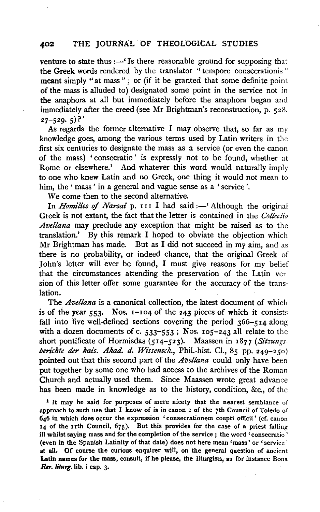### 402 THE JOURNAL OF THEOLOGICAL STUDIES

venture to state thus  $:$  'Is there reasonable ground for supposing that the Greek words rendered by the translator "tempore consecrationis" meant simply "at mass" ; or (if it be granted that some definite point of the mass is alluded to) designated some point in the service not in the anaphora at all but immediately before the anaphora began and immediately after the creed (see Mr Brightman's reconstruction, p. 528.  $27 - 529.5$ ?

As regards the former alternative I may observe that, so far as  $my$ knowledge goes, among the various terms used by Latin writers in the first six centuries to designate the mass as a service (or even the canon of the mass) 'consecratio' is expressly not to be found, whether at Rome or elsewhere.<sup>1</sup> And whatever this word would naturally imply to one who knew Latin and no Greek, one thing it would not mean to him, the' mass' in a general and vague sense as a 'service'.

We come then to the second alternative.

In *Homilies of Narsai* p. 111 I had said :- 'Although the original Greek is not extant, the fact that the letter is contained in the *Collectio Avellana* may preclude any exception that might be raised as to the translation.' By this remark I hoped to obviate the objection which Mr Brightman has made. But as I did not succeed in my aim, and as there is no probability, or indeed chance, that the original Greek of John's letter will ever be found, I must give reasons for my belief that the circumstances attending the preservation of the Latin version of this letter offer some guarantee for the accuracy of the translation.

The *Avellana* is a canonical collection, the latest document of which is of the year  $553$ . Nos. 1-104 of the 243 pieces of which it consists fall into five well-defined sections covering the period 366-514 along with a dozen documents of c.  $533-553$ ; Nos. 105-243 all relate to the short pontificate of Hormisdas (5I4-523). Maassen in I877 *(Sitzungs*berichte der kais. Akad. d. Wissensch., Phil.-hist. Cl., 85 pp. 249-250) pointed out that this second part of the *Avellana* could only have been put together by some one who had access to the archives of the Roman Church and actually used them. Since Maassen wrote great advance has been made in knowledge as to the history, condition, &c., of the

<sup>1</sup> It may be said for purposes of mere nicety that the nearest semblance of approach to such use that I know of is in canon 2 of the 7th Council of Toledo of 646 in which does occur the expression 'consecrationem coepti officii' (cf. canon 14 of the nth Council, 675). But this provides for the case of a priest falling ill whilst saying mass and for the completion of the service ; the word 'consecratio ' (even in the Spanish Latinity of that date) does not here mean 'mass' or 'service' at all. Of course the curious enquirer will, on the general question of ancient Latin names for the mass, consult, if he please, the liturgists, as for instance Bona *Rn-. liturg.* lib. i cap. 3·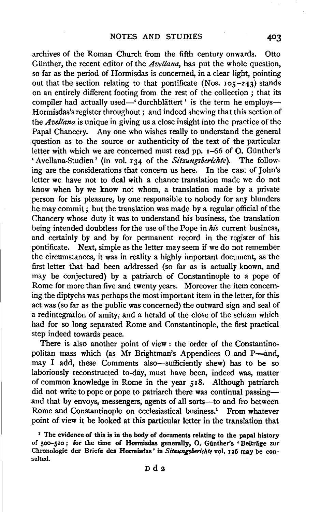archives of the Roman Church from the fifth century onwards. Otto Giinther, the recent editor of the *Avellana,* has put the whole question, so far as the period of Hormisdas is concerned, in a clear light, pointing out that the section relating to that pontificate (Nos.  $105-243$ ) stands on an entirely different footing from the rest of the collection ; that its compiler had actually used—'durchblättert' is the term he employs— Hormisdas's register throughout; and indeed shewing that this section of the *Avellana* is unique in giving us a close insight into the practice of the Papal Chancery. Any one who wishes really to understand the general question as to the source or authenticity of the text of the particular letter with which we are concerned must read pp. 1-66 of 0. Giinther's 'Avellana-Studien' (in vol. 134 of the *Sitzungsberichte).* The following are the considerations that concern us here. In the case of John's letter we have not to deal with a chance translation made we do not know when by we know not whom, a translation made by a private person for his pleasure, by one responsible to nobody for any blunders he may commit ; but the translation was made by a regular official of the Chancery whose duty it was to understand his business, the translation being intended doubtless for the use of the Pope in *hi's* current business, and certainly by and by for permanent record in the register of his pontificate. Next, simple as the letter may seem if we do not remember the circumstances, it was in reality a highly important document, as the first letter that had been addressed (so far as is actually known, and may be conjectured) by a patriarch of Constantinople to a pope of Rome for more than five and twenty years. Moreover the item concerning the diptychs was perhaps the most important item in the letter, for this act was (so far as the public was concerned) the outward sign and seal of a redintegration of amity; and a herald of the close of the schism which had for so long separated Rome and Constantinople, the first practical step indeed towards peace.

There is also another point of view : the order of the Constantino· politan mass which (as Mr Brightman's Appendices O and P-and, may I add, these Comments also-sufficiently shew) has to be so laboriously reconstructed to-day, must have been, indeed was, matter of common knowledge in Rome in the year 518. Although patriarch did not write to pope or pope to patriarch there was continual passingand that by envoys, messengers, agents of all sorts-to and fro between Rome and Constantinople on ecclesiastical business.<sup>1</sup> From whatever point of view it be looked at this particular letter in the translation that

<sup>&</sup>lt;sup>1</sup> The evidence of this is in the body of documents relating to the papal history of 500-520; for the time of Hormisdas generally, O. Gunther's 'Beiträge zur Chronologie der Briefe des Hormisdas' in *Sitsungsberichte* vol. 126 may be consulted.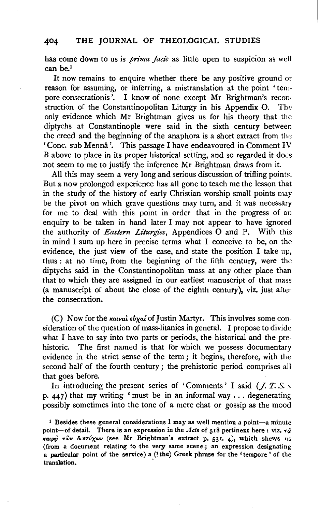# 404 THE JOURNAL OF THEOLOGICAL STUDIES

has come down to us is *prima fade* as little open to suspicion as well can be.1

It now remains to enquire whether there be any positive ground or reason for assuming, or inferring, a mistranslation at the point 'tempore consecrationis '. I know of none except Mr Brightman's reconstruction of the Constantinopolitan Liturgy in his Appendix 0. The only evidence which Mr Brightman gives us for his theory that the diptychs at Constantinople were said in the sixth century between the creed and the beginning of the anaphora is a short extract from the 'Cone. sub Menna '. This passage I have endeavoured in Comment IV B above to place in its proper historical setting, and so regarded it does not seem to me to justify the inference Mr Brightman draws from it.

All this may seem a very long and serious discussion of trifling points. But a now prolonged experience has all gone to teach me the lesson that in the study of the history of early Christian worship small points may be the pivot on which grave questions may turn, and it was necessary for me to deal with this point in order that in the progress of an enquiry to be taken in hand later I may not appear to have ignored the authority of *Eastern Liturgies,* Appendices 0 and P. With this in mind I sum up here in precise terms what I conceive to be, on the evidence, the just view of the case, and state the position I take up, thus : at no time, from the beginning of the fifth century, were the diptychs said in the Constantinopolitan mass at any other place than that to which they are assigned in our earliest manuscript of that mass (a manuscript of about the close of the eighth century), viz. just after the consecration.

(C) Now for the  $\kappa_0 \nu \alpha \iota \omega'$  of Justin Martyr. This involves some consideration of the question of mass-litanies in general. I propose to divide what I have to say into two parts or periods, the historical and the prehistoric. The first named is that for which we possess documentary evidence in the strict sense of the term ; it begins, therefore, with the second half of the fourth century ; the prehistoric period comprises all that goes before.

In introducing the present series of 'Comments' I said  $(J. T. S. x)$ p.  $447$ ) that my writing 'must be in an informal way ... degenerating possibly sometimes into the tone of a mere chat or gossip as the mood

<sup>&</sup>lt;sup>1</sup> Besides these general considerations  $I$  may as well mention a point-a minute point-of detail. There is an expression in the *Acts* of 518 pertinent here : viz.  $\tau\hat{\varphi}$ *J<rupqi Twv 1krrr6xOJv* (see Mr Brightman's extract p. 531. 4)1 which shews us (from a document relating to the very same scene.; an expression designating a particular point of the service) a (!the) Greek phrase for the 'tempore' of the translation.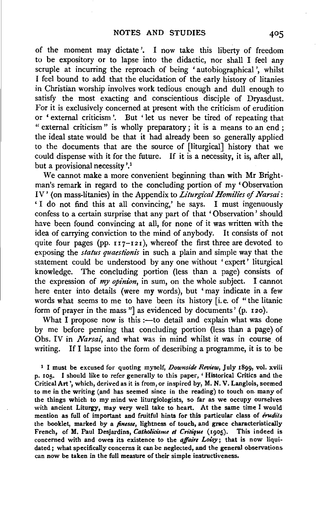of the moment may dictate'. I now take this liberty of freedom to be expository or to lapse into the didactic, nor shall I feel any scruple at incurring the reproach of being 'autobiographical', whilst I feel bound to add that the elucidation of the early history of litanies in Christian worship involves work tedious enough and dull enough to satisfy the most exacting and conscientious disciple of Dryasdust. For it is exclusively concerned at present with the criticism of erudition or ' external criticism'. But ' let us never be tired of repeating that " external criticism" is wholly preparatory; it is a means to an end; the ideal state would be that it had already been so generally applied to the documents that are the source of [liturgical] history that we could dispense with it for the future. If it is a necessity, it is, after all, but a provisional necessity '.<sup>1</sup>

We cannot make a more convenient beginning than with Mr Brightman's remark in regard to the concluding portion of my 'Observation IV' (on mass-litanies) in the Appendix to *Liturgical Homilies* of *Narsai:*  ' I do not find this at all convincing,' he says. I must ingenuously confess to a certain surprise that any part of that 'Observation' should have been found convincing at all, for none of it was written with the idea of carrying conviction to the mind of anybody. It consists of not quite four pages (pp.  $117-121$ ), whereof the first three are devoted to exposing the *status quaestionzs* in such a plain and simple way that the statement could be understood by any one without ' expert' liturgical knowledge. The concluding portion (less than a page) consists of the expression of *my opinion,* in sum, on the whole subject. I cannot here enter into details (were my words), but 'may indicate in a few words what seems to me to have been its history [i.e. of "the litanic form of prayer in the mass "] as evidenced by documents' (p. 120).

What I propose now is this  $:$  -to detail and explain what was done by me before penning that concluding portion (less than a page) of Obs. IV in *Narsai,* and what was in mind whilst it was in course of writing. If I lapse into the form of describing a programme, it is to be

1 I must be excused for quoting myself, *Downside Review,* July 1899, vol. xviii p. 105. I should like to refer generally to this paper, ' Historical Critics and the Critical Art', which, derived as it is from, or inspired by, M. N. V. Langlois, seemed to me in the writing (and has seemed since in the reading) to touch on. many of the things which to my mind we liturgiologists, so far as we occupy ourselves with ancient Liturgy, may very well take to heart. At the same time I would mention as full of important and fruitful hints for this particular class of *érudits* the booklet, marked by a *finesse,* lightness of touch, and grace characteristically French, of M. Paul Desjardins, *Catholicisme et Critique* (1905). This indeed is concerned with and owes its existence to the *affaire Loisy;* that is now liquidated ; what specifically concerns it can be neglected, and the general observations can now be taken in the full measure of their simple instructiveness.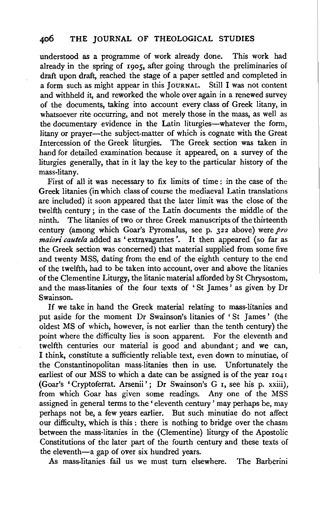understood as a programme of work already done. This work had already in the spring of  $r \circ \circ r$ , after going through the preliminaries of draft upon draft, reached the stage of a paper settled and completed in a form such as might appear in this JOURNAL. Still I was not content and withheld it, and reworked the whole over again in a renewed survey of the documents, taking into account every class of Greek litany, in whatsoever rite occurring, and not merely those in the mass, as well as the documentary evidence in the Latin liturgies--whatever the form, litany or prayer—the subject-matter of which is cognate with the Great Intercession of the Greek liturgies. The Greek section was taken in hand for detailed examination because it appeared, on a survey of the liturgies generally, that in it Jay the key to the particular history of the mass-litany.

First of all it was necessary to fix limits of time : in the case of the Greek litanies (in which class of course the mediaeval Latin translations are included) it soon appeared that the later limit was the close of the twelfth century; in the case of the Latin documents the middle of the ninth. The litanies of two or three Greek manuscripts of the thirteenth century (among which Goar's Pyromalus, see p.  $322$  above) were  $\hat{p}$ ro *maiori cautela* added as 'extravagantes '. It then appeared (so far as the Greek section was concerned) that material supplied from some five and twenty MSS, dating from the end of the eighth century to the end of the twelfth, had to be taken into account, over and above the litanies of the Clementine Liturgy, the litanic material afforded by St Chrysostom, and the mass-litanies of the four texts of 'St James' as given by Dr Swain son.

If we take in hand the Greek material relating to mass-litanies and put aside for the moment Dr Swainson's litanies of 'St James' (the oldest MS of which, however, is not earlier than the tenth century) the point where the difficulty lies is soon apparent. For the eleventh and twelfth centuries our material is good and abundant ; and we can, I think, constitute a sufliciently reliable text, even down to minutiae, of the Constantinopolitan mass-litanies then in use. Unfortunately the earliest of our MSS to which a date can be assigned is of the year 1041 (Goar's 'Cryptoferrat. Arsenii'; Dr Swainson's G r, see his p. xxiii), from which Goar has given some readings. Any one of the MSS assigned in general terms to the 'eleventh century' may perhaps be, may perhaps not be, a few years earlier. But such minutiae do not affect our difficulty, which is this : there is nothing to bridge over the chasm between the mass-litanies in the (Clementine) liturgy of the Apostolic Constitutions of the later part of the fourth century and these texts of the eleventh-a gap of over six hundred years.

As mass-litanies fail us we must turn elsewhere. The Barberini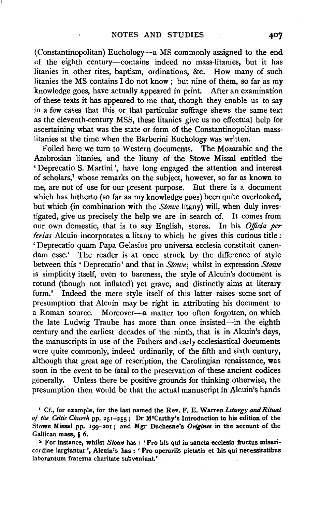(Constantinopolitan) Euchology-a MS commonly assigned to the end of the eighth century-contains indeed no mass-litanies, but it has litanies in other rites, baptism, ordinations, &c. How many of such litanies the MS contains  $I$  do not know; but nine of them, so far as my knowledge goes, have actually appeared in print. After an examination of these texts it has appeared to me that, though they enable us to say in a few cases that this or that particular suffrage shews the same text as the eleventh-century MSS, these litanies give us no effectual help for ascertaining what was the state or form of the Constantinopolitan masslitanies at the time when the Barberini Euchology was written.

Foiled here we turn to Western documents. The Mozarabic and the Ambrosian litanies, and the litany of the Stowe Missal entitled the ' Deprecatio S. Martini ', have long engaged the attention and interest of scholars,<sup>1</sup> whose remarks on the subject, however, so far as known to me, are not of use for our present purpose. But there is a document which has hitherto (so far as my knowledge goes) been quite overlooked, but which (in combination with the *Stowe* litany) will, when duly investigated, give us precisely the help we are in search of. It comes from our own domestic, that is to say English, stores. In his *Officia per* ferias Alcuin incorporates a litany to which he gives this curious title : 'Deprecatio quam Papa Gelasius pro universa ecclesia constituit canendam esse.' The reader is at once struck by the difference of style between this ' Deprecatio' and that in *Stowe;* whilst in expression *Stowe*  is simplicity itself, even to bareness, the style of Alcuin's document is rotund (though not inflated) yet grave, and distinctly aims at literary form.<sup>2</sup> Indeed the mere style itself of this latter raises some sort of presumption that Alcuin may be right in attributing his document to a Roman source. Moreover-a matter too often forgotten, on which the late Ludwig Traube has more than once insisted-in the eighth century and the earliest decades of the ninth, that is in Alcuin's days, the manuscripts in use of the Fathers and early ecclesiastical documents were quite commonly, indeed ordinarily, of the fifth and sixth century, although that great age of rescription, the Carolingian renaissance, was soon in the event to be fatal to the preservation of these ancient codices generally. Unless there be positive grounds for thinking otherwise, the presumption then would be that the actual manuscript in Alcuin's hands

1 Cf., for example, for the last named the Rev. F. E. Warren *L1turgy and Ritual of the Celtic Church* pp. 251-255; Dr M•Carthy's Introduction to his edition of the Stowe Missal pp. 199-201 ; and Mgr Duchesne's *Origines* in the account of the Gallican mass, § 6.<br><sup>2</sup> For instance, whilst *Stowe* has : 'Pro his qui in sancta ecclesia fructus miseri-

cordiae largiuntur ', Alcuin's has : ' Pro operariis pietatis et his qui necessitatibus laborantum fraterna charitate subveniunt.'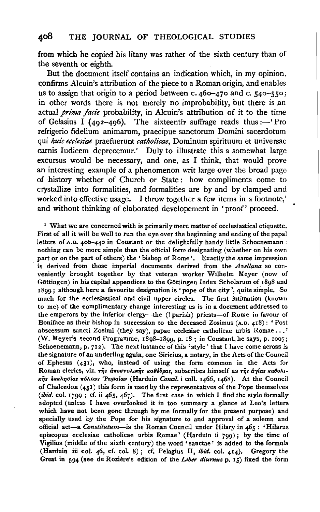from which he copied his litany was rather of the sixth century than of the seventh or eighth.

But the document itself contains an indication which, in my opinion, confirms Alcuin's attribution of the piece to a Roman origin, and enables us to assign that origin to a period between c. 460-470 and c. 540-550; in other words there is not merely no improbability, but there is an actual *prima fade* probability, in Alcuin's attribution of it to the time of Gelasius I (492-496). The sixteenthe suffrage reads thus: $-$ 'Pro refrigerio fidelium animarum, praecipue sanctorum Domini sacerdotum qui *huic ecclesiae* praefuerunt *catlwlicae,* Dominum spirituum et universae carnis Iudicem deprecemur.' Duly to illustrate this a somewhat large excursus would be necessary, and one, as I think, that would prove an interesting example of a phenomenon writ large over the broad page of history whether of Church or State : how compliments come to crystallize into formalities, and formalities are by and by clamped and worked into effective usage. I throw together a few items in a footnote,' and without thinking of elaborated developement in 'proof' proceed.

 $<sup>1</sup>$  What we are concerned with is primarily mere matter of ecclesiastical etiquette.</sup> First of all it will be well to run the eye over the beginning and ending of the papal letters of A.D. 400-440 in Coustant or the delightfully handy little Schoenemann : nothing can be more simple than the official form designating (whether on his own part or on the part of others) the ' bishop of Rome'. Exactly the same impression is derived from those imperial documents derived from the *Avellana* so conveniently brought together by that veteran worker Wilhelm Meyer (now of Göttingen) in his capital appendices to the Göttingen Index Scholarum of 1898 and I 899 ; although here a favourite designation is 'pope of the city ', quite simple. So much for the ecclesiastical and civil upper circles. The first intimation (known to me) of the complimentary change interesting us is in a document addressed to the emperors by the inferior clergy-the (? parish) priests-of Rome in favour of Boniface as their bishop in succession to the deceased Zosimus  $(A.D., 4I8)$ : 'Post abscessum sancti Zosimi (they say), papac ecclesiae catholicae urbis Romae •.. ' (W. Meyer's second Programme, I898-I899, p. IS; in Coustant, he says, p. roo7; Schoenemann, p. 712). The next instance of this 'style' that I have come across is the signature of an underling again, one Siricius, a notary, in the Acts of the Council of .Ephesus (43I), who, instead of using the form common in the Acts for Roman clerics, viz. της αποστολικής καθέδρας, subscribes himself as της άγίας καθολικῆs ἐκκλησίαs πόλεωs 'Ρωμαίων (Harduin *Concil.* i coll. 1466, 1468). At the Council of Chalcedon  $(451)$  this form is used by the representatives of the Pope themselves *(ibid.* col. I799 ; cf. ii 465, 467). The first case in which I find the style formally adopted (unless I have overlooked it in too summary a glance at Leo's letters which have not been gone through by me formally for the present purpose) and specially used by the Pope for his signature to and approval of a solemn and official act-a *Constitutum-is* the Roman Council under Hilary in 465 : 'Hilarus episcopus ecclesiae catholicae urbis Romae' (Harduin ii 799) ; by the time of Vigilius (middle of the sixth century) the word ' sanctae ' is added to the formula (Harduin iii col. 46, cf. col. 8) ; cf. Pelagius 11, *ibid.* col. 414). Gregory the Great in 594 (see de Roziere's edition of the *Liber diurnus* p. 15) fixed the form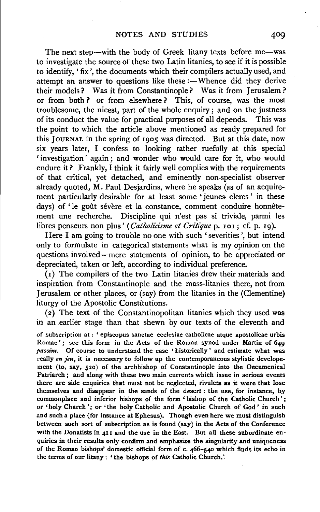The next step-with the body of Greek litany texts before me-was to investigate the source of these two Latin litanies, to see if it is possible to identify, 'fix', the documents which their compilers actually used, and attempt an answer to questions like these :- Whence did they derive their models? Was it from Constantinople? Was it from Jerusalem ? or from both ? or from elsewhere ? This, of course, was the most troublesome, the nicest, part of the whole enquiry ; and on the justness of its conduct the value for practical purposes of all depends. This was the point to which the article above mentioned as ready prepared for this JOURNAL in the spring of 1905 was directed. But at this date, now six years later, I confess to looking rather ruefully at this special 'investigation ' again ; and wonder who would care for it, who would endure it? Frankly, I think it fairly well complies with the requirements of that critical, yet detached, and eminently non-specialist observer already quoted, M. Paul Desjardins, where he speaks (as of an acquirement particularly desirable for at least some 'jeunes clercs' in these days) of 'le goût sévère et la constance, comment conduire honnêtement une recherche. Discipline qui n'est pas si triviale, parmi les libres penseurs non plus' (*Catholicisme et Critique* p. 101; cf. p. 19).

Here I am going to trouble no one with such 'severities', but intend only to formulate in categorical statements what is my opinion on the questions involved-mere statements of opinion, to be appreciated or depreciated, taken or left, according to individual preference.

(I) The compilers of the two Latin litanies drew their materials and inspiration from Constantinople and the mass-litanies there, not from Jerusalem or other places, or (say) from the litanies in the (Clementine) liturgy of the Apostolic Constitutions.

( 2) The text of the Constantinopolitan litanies which they used was in an earlier stage than that shewn by our texts of the eleventh and

of subscription at : ' episcopus sanctae ecclesiae catholicae atque apostolicae urbis Romae'; see this form in the Acts of the Roman synod under Martin of 640 *passim.* Of course to understand the case 'historically' and estimate what was really *en jeu*, it is necessary to follow up the contemporaneous stylistic developement (to, say, 520) of the archbishop of Constantinople into the Oecumenical Patriarch ; and along with these two main currents which issue in serious events there are side enquiries that must not be neglected, rivulets as it were that lose themselves and disappear in the sands of the desert : the use, for instance, by commonplace and inferior bishops of the form ' bishop of the Catholic Church'; or 'holy Church '; or 'the holy Catholic and Apostolic Church of God' in such and such a place (for instance at Ephesus). Though even here we must distinguish between such sort of subscription as is found (say) in the Acts of the Conference with the Donatists in 4II and the use in the East. But all these subordinate enquiries in their results only confirm and emphasize the singularity and uniqueness of the Roman bishops' domestic official form of c. 466-540 which finds its echo in the terms of our litany : ' the bishops of *this* Catholic Church.'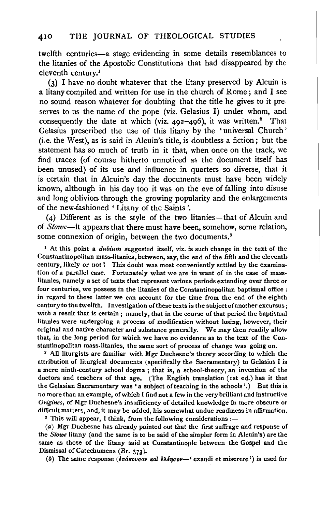twelfth centuries-a stage evidencing in some details resemblances to the litanies of the Apostolic Constitutions that had disappeared by the eleventh century.1

(3) I have no doubt whatever that the litany preserved by Alcuin is a litany compiled and written for use in the church of Rome; and I see no sound reason whatever for doubting that the title he gives to it preserves to us the name of the pope (viz. Gelasius I) under whom, and consequently the date at which (viz.  $492-496$ ), it was written.<sup>2</sup> That Gelasius prescribed the use of this litany by the 'universal Church' (i.e. the West), as is said in Alcuin's title, is doubtless a fiction; but the statement has so much of truth in it that, when once on the track, we find traces (of course hitherto unnoticed as the document itself has been unused) of its use and influence in quarters so diverse, that it is certain that in Alcuin's day the documents must have been widely known, although in his day too it was on the eve of falling into disuse and long oblivion. through the growing popularity and the enlargements of the new-fashioned ' Litany of the Saints '.

(4) Different as is the style of the two litanies-that of Alcuin and of *Stowe-it* appears that there must have been, somehow, some relation, some connexion of origin, between the two documents.<sup>3</sup>

<sup>1</sup> At this point a *dubium* suggested itself, viz. is such change in the text of the Constantinopolitan mass-litanies, between, say, the end of the fifth and the eleventh century, likely or not *1* This doubt was most conveniently settled by the examination of a parallel case. Fortunately what we are in want of in the case of masslitanies, namely a set of texts that represent various periods extending over three or four centuries, we possess in the litanies of the Constantinopolitan baptismal office : in regard to these latter we can account for the time from the end of the eighth century to the twelfth. Investigation ofthese texts is the subject of another excursus ; with a result that is certain ; namely, that in the course of that period the baptismal litanies were undergoing a process of modification without losing, however, their original and native character and substance generally. We may then readily allow that, in the long period for which we have no evidence as to the text of the Constantinopolitan mass-litanies, the same sort of process of change was going on\_

• All liturgists are familiar with Mgr Duchesne's theory according to which the attribution of liturgical documents (specifically the Sacramentary) to Gelasius I is a mere ninth-century school dogma; that is, a school-theory, an invention of the doctors and teachers of that age. (The English translation (rst ed.) has it that the Gelasian Sacramentary was' a subject of teaching in the schools'.) But this is no more than an example, of which I find not a few in the very brilliant and instructive *Origines,* of Mgr Duchesne's insufficiency of detailed knowledge in more obscure or difficult matters, and, it may be added, his somewhat undue readiness in affirmation.  $\frac{3}{10}$  This will appear, I think, from the following considerations :-

(a) Mgr Duchesne has already pointed out that the first suffrage and response of the *Stowe* litany (and the same is to be said of the simpler form in Alcuin's) are the same as those of the litany said at Constantinople between the Gospel and the Dismissal of Catechumens (Br. 373).

(b) The same response (επάκουσον και ελέησον-' exaudi et miserere<sup>'</sup>) is used for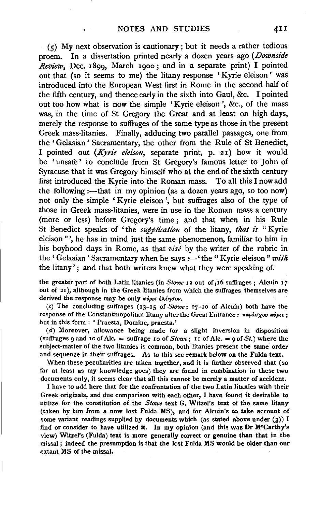$(5)$  My next observation is cautionary; but it needs a rather tedious proem. In a dissertation printed nearly a dozen years ago *(Downside Review,* Dec. 1899, March 1900; and in a separate print) I pointed out that (so it seems to me) the litany response 'Kyrie eleison' was introduced into the European West first in Rome in the second half of the fifth century, and thence early in the sixth into Gaul, &c. I pointed out too how what is now the simple 'Kyrie eleison ', &c., of the mass was, in the time of St Gregory the Great and at least on high days, merely the response to suffrages of the same type as those in the present Greek mass-litanies. Finally, adducing two parallel passages, one from the 'Gelasian' Sacramentary, the other from the Rule of St Benedict, I pointed out *(Kyrie elei'son,* separate print, p. 21) how it would be 'unsafe' to conclude from St Gregory's famous letter to John of Syracuse that it was Gregory himself who at the end of the sixth century first introduced the Kyrie into the Roman mass. To all this I now add the following :- that in my opinion (as a dozen years ago, so too now) not only the simple 'Kyrie eleison', but suffrages also of the type of those in Greek mass-litanies, were in use in the Roman mass a century (more or less) before Gregory's time; and that when in his Rule St Benedict speaks of 'the *supplication* of the litany, *that is* "Kyrie eleison "', he has in mind just the same phenomenon, familiar to him in his boyhood days in Rome, as that *vise* by the writer of the rubric in the 'Gelasian' Sacramentary when he says :- 'the " Kyrie eleison" with the litany' ; and that both writers knew what they were speaking of.

the greater part of both Latin litanies (in *Stowe* 12 out of 16 suffrages; Alcuin 17 out of 21), although in the Greek litanies from which the suffrages themselves are derived the response may be only  $\kappa \psi_{\theta \theta} \epsilon \partial \lambda \partial \phi \sigma \omega$ .

*(c)* The concluding suffrages (13-15 of *Stowe;* 17-20 of Alcuin) both have the response of the Constantinopolitan litany after the Great Entrance:  $\pi a \rho a \sigma \chi o \nu \kappa \phi \mu \epsilon$ ; but in this form : ' Praesta, Domine, praesta.'

(d) Moreover, allowance being made for a slight inversion in disposition (suffrages 9 and 10 of Alc. = suffrage 10 of  $Showe$ ; 11 of Alc. = 9 of St.) where the subject-matter of the two litanies is common, both litanies present the same order and sequence in their suffrages. As to this see remark below on the Fulda text.

When these peculiarities are taken together, and it is further observed that (so far at least as my knowledge goes) they are found in combination in these two documents only, it seems clear that all this cannot be merely a matter of accident.

I have to add here that for the confrontation of the two Latin litanies with their Greek originals, and due comparison with each other, I have found it desirable to utilize for the constitution of the *Stowe* text G. Witzel's text of the same litany (taken by him from a now lost Fulda MS), and for Alcuin's to take account of some variant readings supplied by documents which (as stated above under  $(3)$ ) I find or consider to have utilized it. In my opinion (and this was Dr M•Carthy's view) Witzel's (Fulda) text is more generally correct or genuine than that in the missal ; indeed the presumption is that the lost Fulda MS would be older than our extant MS of the missal.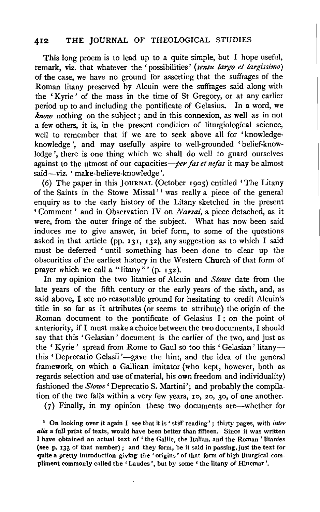# **412 THE JOURNAL** OF THEOLOGICAL STUDIES

This long proem is to lead up to a quite simple, but I hope useful, remark, viz. that whatever the 'possibilities' *(sensu largo et largissimo)*  of the case, we have no ground for asserting that the suffrages of the Roman litany preserved by Alcuin were the suffrages said along with the 'Kyrie' of the mass in the time of St Gregory, or at any earlier period up to and including the pontificate of Gelasius. In a word, we *know* nothing on the subject; and in this connexion, as well as in not a few others, it is, in the present condition of liturgiological science, well to remember that if we are to seek above all for 'knowledgeknowledge ', and may usefully aspire to well-grounded 'belief-knowledge ', there is one thing which we shall do well to guard ourselves against to the utmost of our capacities-per fas et nefas it may be almost said-viz. 'make-believe-knowledge'.

(6) The paper in this JouRNAL (October rgos) entitled 'The Litany of the Saints in the Stowe Missal'<sup>1</sup> was really a piece of the general enquiry as to the early history of the Litany sketched in the present ' Comment' and in Observation IV on *Narsai,* a piece detached, as it were, from the outer fringe of the subject. What has now been said induces me to give answer, in brief form, to some of the questions asked in that article (pp. r3r, r32), any suggestion as to which I said must be deferred ' until something has been done to clear up the obscurities of the earliest history in the Western Church of that form of prayer which we call a "litany"' (p.  $r_32$ ).

In my opinion the two litanies of Alcuin and *Stowe* date from the late years of the fifth century or the early years of the sixth, and, as said above, I see no reasonable ground for hesitating to credit Alcuin's title in so far as it attributes (or seems to attribute) the origin of the Roman document to the pontificate of Gelasius I ; on the point of anteriority, if I must make a choice between the two documents, I should say that this 'Gelasian' document is the earlier of the two, and just as the ' Kyrie' spread from Rome to Gaul so too this ' Gelasian' litanythis 'Deprecatio Gelasii'-gave the hint, and the idea of the general framework, on which a Gallican imitator {who kept, however, both as regards selection and use of material, his own freedom and individuality) fashioned the *Stowe'* Deprecatio S. Martini'; and probably the compilation of the two falls within a very few years, ro, 20, 30, of one another.

(7) Finally, in my opinion these two documents are-whether for

1 On looking over it again I see that it is' stiff reading'; thirty pages, with *inter alia* a full print of texts, would have been better than fifteen. Since it was written I have obtained an actual text of ' the Gallic, the Italian, and the Roman ' litanies (see p. 133 of that number) ; and they form, be it said in passing, just the text for quite a pretty introduction giving the 'origins' of that form of high liturgical compliment commonly called the 'Laudes ', but by some ' the litany of Hincmar '.